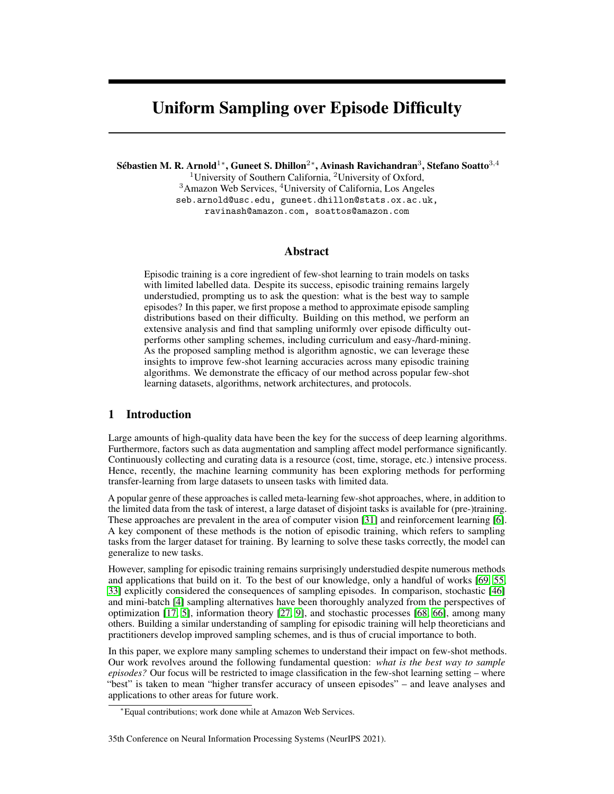# Uniform Sampling over Episode Difficulty

Sébastien M. R. Arnold $^{1*}$ , Guneet S. Dhillon $^{2*}$ , Avinash Ravichandran $^{3}$ , Stefano Soatto $^{3,4}$ 

<sup>1</sup>University of Southern California, <sup>2</sup>University of Oxford, <sup>3</sup>Amazon Web Services, <sup>4</sup>University of California, Los Angeles seb.arnold@usc.edu, guneet.dhillon@stats.ox.ac.uk,

ravinash@amazon.com, soattos@amazon.com

# Abstract

Episodic training is a core ingredient of few-shot learning to train models on tasks with limited labelled data. Despite its success, episodic training remains largely understudied, prompting us to ask the question: what is the best way to sample episodes? In this paper, we first propose a method to approximate episode sampling distributions based on their difficulty. Building on this method, we perform an extensive analysis and find that sampling uniformly over episode difficulty outperforms other sampling schemes, including curriculum and easy-/hard-mining. As the proposed sampling method is algorithm agnostic, we can leverage these insights to improve few-shot learning accuracies across many episodic training algorithms. We demonstrate the efficacy of our method across popular few-shot learning datasets, algorithms, network architectures, and protocols.

# 1 Introduction

Large amounts of high-quality data have been the key for the success of deep learning algorithms. Furthermore, factors such as data augmentation and sampling affect model performance significantly. Continuously collecting and curating data is a resource (cost, time, storage, etc.) intensive process. Hence, recently, the machine learning community has been exploring methods for performing transfer-learning from large datasets to unseen tasks with limited data.

A popular genre of these approaches is called meta-learning few-shot approaches, where, in addition to the limited data from the task of interest, a large dataset of disjoint tasks is available for (pre-)training. These approaches are prevalent in the area of computer vision [\[31\]](#page-11-0) and reinforcement learning [\[6\]](#page-10-0). A key component of these methods is the notion of episodic training, which refers to sampling tasks from the larger dataset for training. By learning to solve these tasks correctly, the model can generalize to new tasks.

However, sampling for episodic training remains surprisingly understudied despite numerous methods and applications that build on it. To the best of our knowledge, only a handful of works [\[69,](#page-12-0) [55,](#page-12-1) [33\]](#page-11-1) explicitly considered the consequences of sampling episodes. In comparison, stochastic [\[46\]](#page-11-2) and mini-batch [\[4\]](#page-10-1) sampling alternatives have been thoroughly analyzed from the perspectives of optimization [\[17,](#page-10-2) [5\]](#page-10-3), information theory [\[27,](#page-11-3) [9\]](#page-10-4), and stochastic processes [\[68,](#page-12-2) [66\]](#page-12-3), among many others. Building a similar understanding of sampling for episodic training will help theoreticians and practitioners develop improved sampling schemes, and is thus of crucial importance to both.

In this paper, we explore many sampling schemes to understand their impact on few-shot methods. Our work revolves around the following fundamental question: *what is the best way to sample episodes?* Our focus will be restricted to image classification in the few-shot learning setting – where "best" is taken to mean "higher transfer accuracy of unseen episodes" – and leave analyses and applications to other areas for future work.

<sup>∗</sup>Equal contributions; work done while at Amazon Web Services.

<sup>35</sup>th Conference on Neural Information Processing Systems (NeurIPS 2021).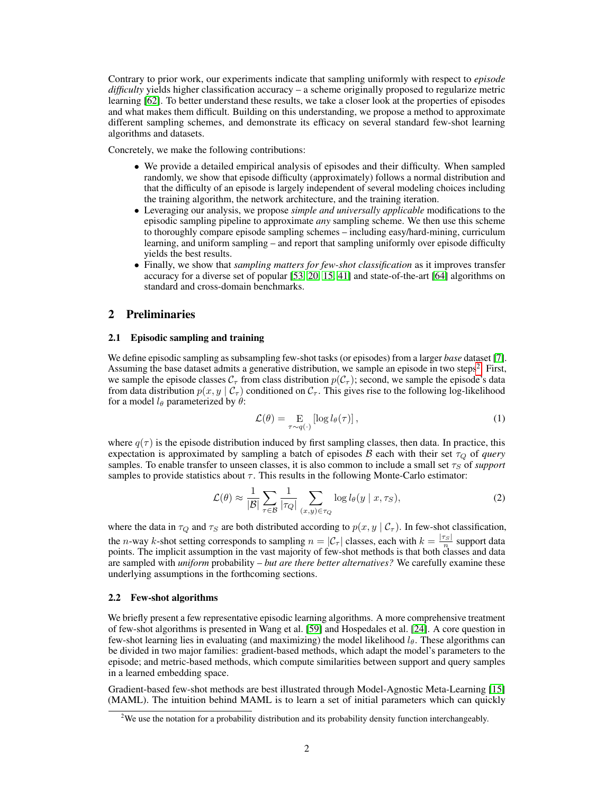Contrary to prior work, our experiments indicate that sampling uniformly with respect to *episode difficulty* yields higher classification accuracy – a scheme originally proposed to regularize metric learning [\[62\]](#page-12-4). To better understand these results, we take a closer look at the properties of episodes and what makes them difficult. Building on this understanding, we propose a method to approximate different sampling schemes, and demonstrate its efficacy on several standard few-shot learning algorithms and datasets.

Concretely, we make the following contributions:

- We provide a detailed empirical analysis of episodes and their difficulty. When sampled randomly, we show that episode difficulty (approximately) follows a normal distribution and that the difficulty of an episode is largely independent of several modeling choices including the training algorithm, the network architecture, and the training iteration.
- Leveraging our analysis, we propose *simple and universally applicable* modifications to the episodic sampling pipeline to approximate *any* sampling scheme. We then use this scheme to thoroughly compare episode sampling schemes – including easy/hard-mining, curriculum learning, and uniform sampling – and report that sampling uniformly over episode difficulty yields the best results.
- Finally, we show that *sampling matters for few-shot classification* as it improves transfer accuracy for a diverse set of popular [\[53,](#page-12-5) [20,](#page-10-5) [15,](#page-10-6) [41\]](#page-11-4) and state-of-the-art [\[64\]](#page-12-6) algorithms on standard and cross-domain benchmarks.

# 2 Preliminaries

### <span id="page-1-1"></span>2.1 Episodic sampling and training

We define episodic sampling as subsampling few-shot tasks (or episodes) from a larger *base* dataset [\[7\]](#page-10-7). Assuming the base dataset admits a generative distribution, we sample an episode in two steps<sup>[2](#page-1-0)</sup>. First, we sample the episode classes  $C_{\tau}$  from class distribution  $p(C_{\tau})$ ; second, we sample the episode's data from data distribution  $p(x, y \mid C_\tau)$  conditioned on  $C_\tau$ . This gives rise to the following log-likelihood for a model  $l_{\theta}$  parameterized by  $\theta$ :

<span id="page-1-2"></span>
$$
\mathcal{L}(\theta) = \underset{\tau \sim q(\cdot)}{\mathcal{E}} \left[ \log l_{\theta}(\tau) \right],\tag{1}
$$

where  $q(\tau)$  is the episode distribution induced by first sampling classes, then data. In practice, this expectation is approximated by sampling a batch of episodes  $\beta$  each with their set  $\tau_Q$  of *query* samples. To enable transfer to unseen classes, it is also common to include a small set  $\tau<sub>S</sub>$  of *support* samples to provide statistics about  $\tau$ . This results in the following Monte-Carlo estimator:

<span id="page-1-3"></span>
$$
\mathcal{L}(\theta) \approx \frac{1}{|\mathcal{B}|} \sum_{\tau \in \mathcal{B}} \frac{1}{|\tau_Q|} \sum_{(x,y) \in \tau_Q} \log l_{\theta}(y \mid x, \tau_S), \tag{2}
$$

where the data in  $\tau_Q$  and  $\tau_S$  are both distributed according to  $p(x, y \mid C_\tau)$ . In few-shot classification, the *n*-way *k*-shot setting corresponds to sampling  $n = |\mathcal{C}_\tau|$  classes, each with  $k = \frac{|\tau_S|}{n}$  support data points. The implicit assumption in the vast majority of few-shot methods is that both classes and data points. are sampled with *uniform* probability – *but are there better alternatives?* We carefully examine these underlying assumptions in the forthcoming sections.

### 2.2 Few-shot algorithms

We briefly present a few representative episodic learning algorithms. A more comprehensive treatment of few-shot algorithms is presented in Wang et al. [\[59\]](#page-12-7) and Hospedales et al. [\[24\]](#page-10-8). A core question in few-shot learning lies in evaluating (and maximizing) the model likelihood  $l_{\theta}$ . These algorithms can be divided in two major families: gradient-based methods, which adapt the model's parameters to the episode; and metric-based methods, which compute similarities between support and query samples in a learned embedding space.

Gradient-based few-shot methods are best illustrated through Model-Agnostic Meta-Learning [\[15\]](#page-10-6) (MAML). The intuition behind MAML is to learn a set of initial parameters which can quickly

<span id="page-1-0"></span><sup>&</sup>lt;sup>2</sup>We use the notation for a probability distribution and its probability density function interchangeably.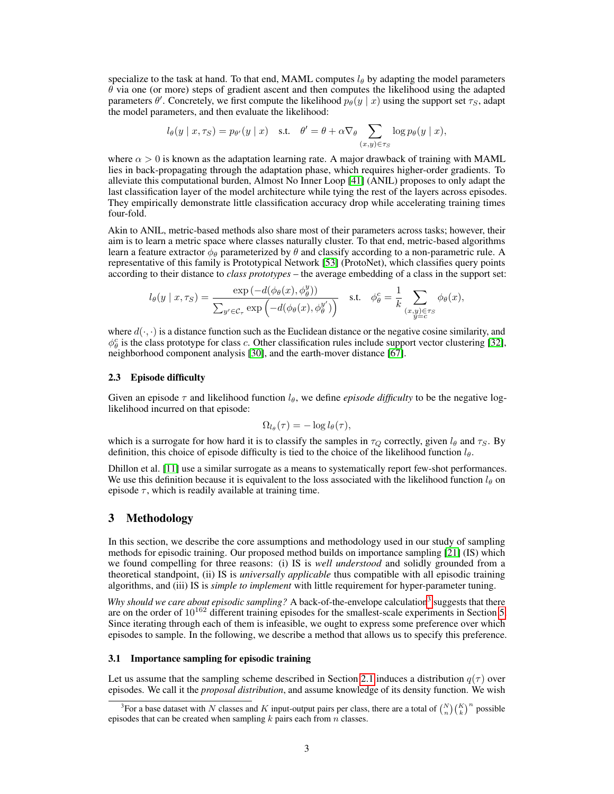specialize to the task at hand. To that end, MAML computes  $l_{\theta}$  by adapting the model parameters  $\theta$  via one (or more) steps of gradient ascent and then computes the likelihood using the adapted parameters  $\theta'$ . Concretely, we first compute the likelihood  $p_{\theta}(y | x)$  using the support set  $\tau_S$ , adapt the model parameters, and then evaluate the likelihood:

$$
l_{\theta}(y \mid x, \tau_S) = p_{\theta'}(y \mid x)
$$
 s.t.  $\theta' = \theta + \alpha \nabla_{\theta} \sum_{(x,y) \in \tau_S} \log p_{\theta}(y \mid x),$ 

where  $\alpha > 0$  is known as the adaptation learning rate. A major drawback of training with MAML lies in back-propagating through the adaptation phase, which requires higher-order gradients. To alleviate this computational burden, Almost No Inner Loop [\[41\]](#page-11-4) (ANIL) proposes to only adapt the last classification layer of the model architecture while tying the rest of the layers across episodes. They empirically demonstrate little classification accuracy drop while accelerating training times four-fold.

Akin to ANIL, metric-based methods also share most of their parameters across tasks; however, their aim is to learn a metric space where classes naturally cluster. To that end, metric-based algorithms learn a feature extractor  $\phi_\theta$  parameterized by  $\theta$  and classify according to a non-parametric rule. A representative of this family is Prototypical Network [\[53\]](#page-12-5) (ProtoNet), which classifies query points according to their distance to *class prototypes* – the average embedding of a class in the support set:

$$
l_{\theta}(y \mid x, \tau_{S}) = \frac{\exp(-d(\phi_{\theta}(x), \phi_{\theta}^{y}))}{\sum_{y' \in \mathcal{C}_{\tau}} \exp(-d(\phi_{\theta}(x), \phi_{\theta}^{y'}))} \quad \text{s.t.} \quad \phi_{\theta}^{c} = \frac{1}{k} \sum_{\substack{(x, y) \in \tau_{S} \\ y = c}} \phi_{\theta}(x),
$$

where  $d(\cdot, \cdot)$  is a distance function such as the Euclidean distance or the negative cosine similarity, and  $\phi_{\theta}^c$  is the class prototype for class c. Other classification rules include support vector clustering [\[32\]](#page-11-5), neighborhood component analysis [\[30\]](#page-11-6), and the earth-mover distance [\[67\]](#page-12-8).

### <span id="page-2-1"></span>2.3 Episode difficulty

Given an episode  $\tau$  and likelihood function  $l_{\theta}$ , we define *episode difficulty* to be the negative loglikelihood incurred on that episode:

$$
\Omega_{l_{\theta}}(\tau) = -\log l_{\theta}(\tau),
$$

which is a surrogate for how hard it is to classify the samples in  $\tau_Q$  correctly, given  $l_\theta$  and  $\tau_S$ . By definition, this choice of episode difficulty is tied to the choice of the likelihood function  $l_{\theta}$ .

Dhillon et al. [\[11\]](#page-10-9) use a similar surrogate as a means to systematically report few-shot performances. We use this definition because it is equivalent to the loss associated with the likelihood function  $l_\theta$  on episode  $\tau$ , which is readily available at training time.

### 3 Methodology

In this section, we describe the core assumptions and methodology used in our study of sampling methods for episodic training. Our proposed method builds on importance sampling [\[21\]](#page-10-10) (IS) which we found compelling for three reasons: (i) IS is *well understood* and solidly grounded from a theoretical standpoint, (ii) IS is *universally applicable* thus compatible with all episodic training algorithms, and (iii) IS is *simple to implement* with little requirement for hyper-parameter tuning.

Why should we care about episodic sampling? A back-of-the-envelope calculation<sup>[3](#page-2-0)</sup> suggests that there are on the order of  $10^{162}$  different training episodes for the smallest-scale experiments in Section [5.](#page-5-0) Since iterating through each of them is infeasible, we ought to express some preference over which episodes to sample. In the following, we describe a method that allows us to specify this preference.

### 3.1 Importance sampling for episodic training

Let us assume that the sampling scheme described in Section [2.1](#page-1-1) induces a distribution  $q(\tau)$  over episodes. We call it the *proposal distribution*, and assume knowledge of its density function. We wish

<span id="page-2-0"></span><sup>&</sup>lt;sup>3</sup>For a base dataset with N classes and K input-output pairs per class, there are a total of  $\binom{N}{n}\binom{K}{k}^n$  possible episodes that can be created when sampling  $k$  pairs each from  $n$  classes.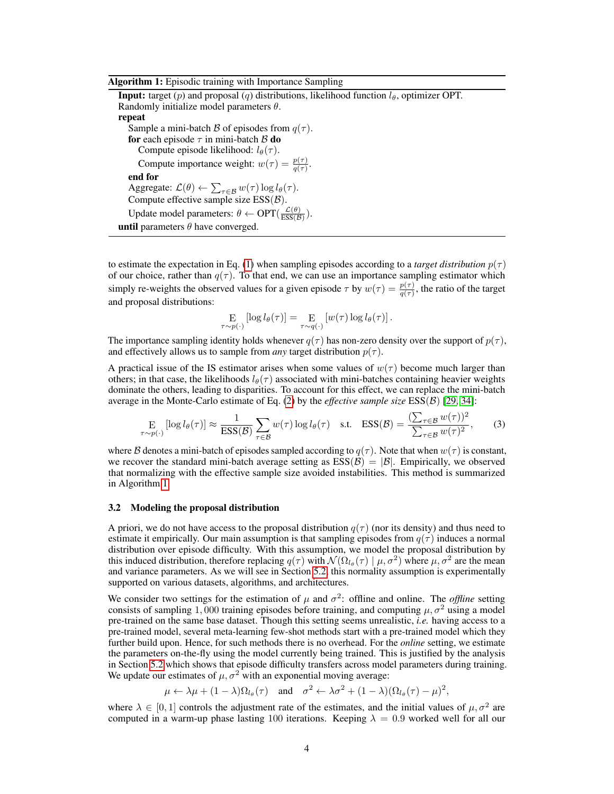| Algorithm 1: Episodic training with Importance Sampling |  |  |  |
|---------------------------------------------------------|--|--|--|
|                                                         |  |  |  |

<span id="page-3-0"></span>**Input:** target (p) and proposal (q) distributions, likelihood function  $l_{\theta}$ , optimizer OPT. Randomly initialize model parameters  $\theta$ . repeat Sample a mini-batch B of episodes from  $q(\tau)$ . for each episode  $\tau$  in mini-batch  $\beta$  do Compute episode likelihood:  $l_{\theta}(\tau)$ . Compute importance weight:  $w(\tau) = \frac{p(\tau)}{q(\tau)}$ . end for Aggregate:  $\mathcal{L}(\theta) \leftarrow \sum_{\tau \in \mathcal{B}} w(\tau) \log l_{\theta}(\tau)$ . Compute effective sample size  $ESS(\mathcal{B})$ . Update model parameters:  $\theta \leftarrow \text{OPT}(\frac{\mathcal{L}(\theta)}{\text{FSS}/\beta})$  $\frac{\mathcal{L}(\theta)}{\mathrm{ESS}(\mathcal{B})}$ ). **until** parameters  $\theta$  have converged.

to estimate the expectation in Eq. [\(1\)](#page-1-2) when sampling episodes according to a *target distribution*  $p(\tau)$ of our choice, rather than  $q(\tau)$ . To that end, we can use an importance sampling estimator which simply re-weights the observed values for a given episode  $\tau$  by  $w(\tau) = \frac{p(\tau)}{q(\tau)}$ , the ratio of the target and proposal distributions:

$$
\mathop{\mathbf{E}}_{\tau \sim p(\cdot)} \left[ \log l_{\theta}(\tau) \right] = \mathop{\mathbf{E}}_{\tau \sim q(\cdot)} \left[ w(\tau) \log l_{\theta}(\tau) \right].
$$

The importance sampling identity holds whenever  $q(\tau)$  has non-zero density over the support of  $p(\tau)$ , and effectively allows us to sample from *any* target distribution  $p(\tau)$ .

A practical issue of the IS estimator arises when some values of  $w(\tau)$  become much larger than others; in that case, the likelihoods  $l_{\theta}(\tau)$  associated with mini-batches containing heavier weights dominate the others, leading to disparities. To account for this effect, we can replace the mini-batch average in the Monte-Carlo estimate of Eq. [\(2\)](#page-1-3) by the *effective sample size* ESS(B) [\[29,](#page-11-7) [34\]](#page-11-8):

$$
\underset{\tau \sim p(\cdot)}{\mathcal{E}} \left[ \log l_{\theta}(\tau) \right] \approx \frac{1}{\text{ESS}(\mathcal{B})} \sum_{\tau \in \mathcal{B}} w(\tau) \log l_{\theta}(\tau) \quad \text{s.t.} \quad \text{ESS}(\mathcal{B}) = \frac{\left( \sum_{\tau \in \mathcal{B}} w(\tau) \right)^2}{\sum_{\tau \in \mathcal{B}} w(\tau)^2},\tag{3}
$$

where B denotes a mini-batch of episodes sampled according to  $q(\tau)$ . Note that when  $w(\tau)$  is constant, we recover the standard mini-batch average setting as  $ESS(\mathcal{B}) = |\mathcal{B}|$ . Empirically, we observed that normalizing with the effective sample size avoided instabilities. This method is summarized in Algorithm [1.](#page-3-0)

### <span id="page-3-1"></span>3.2 Modeling the proposal distribution

A priori, we do not have access to the proposal distribution  $q(\tau)$  (nor its density) and thus need to estimate it empirically. Our main assumption is that sampling episodes from  $q(\tau)$  induces a normal distribution over episode difficulty. With this assumption, we model the proposal distribution by this induced distribution, therefore replacing  $q(\tau)$  with  $\mathcal{N}(\Omega_{l_{\theta}}(\tau) \mid \mu, \sigma^2)$  where  $\mu, \sigma^2$  are the mean and variance parameters. As we will see in Section [5.2,](#page-5-1) this normality assumption is experimentally supported on various datasets, algorithms, and architectures.

We consider two settings for the estimation of  $\mu$  and  $\sigma^2$ : offline and online. The *offline* setting consists of sampling 1,000 training episodes before training, and computing  $\mu$ ,  $\sigma^2$  using a model pre-trained on the same base dataset. Though this setting seems unrealistic, *i.e.* having access to a pre-trained model, several meta-learning few-shot methods start with a pre-trained model which they further build upon. Hence, for such methods there is no overhead. For the *online* setting, we estimate the parameters on-the-fly using the model currently being trained. This is justified by the analysis in Section [5.2](#page-5-1) which shows that episode difficulty transfers across model parameters during training. We update our estimates of  $\mu$ ,  $\sigma^2$  with an exponential moving average:

 $\mu \leftarrow \lambda \mu + (1 - \lambda) \Omega_{l_{\theta}}(\tau)$  and  $\sigma^2 \leftarrow \lambda \sigma^2 + (1 - \lambda) (\Omega_{l_{\theta}}(\tau) - \mu)^2$ ,

where  $\lambda \in [0,1]$  controls the adjustment rate of the estimates, and the initial values of  $\mu, \sigma^2$  are computed in a warm-up phase lasting 100 iterations. Keeping  $\lambda = 0.9$  worked well for all our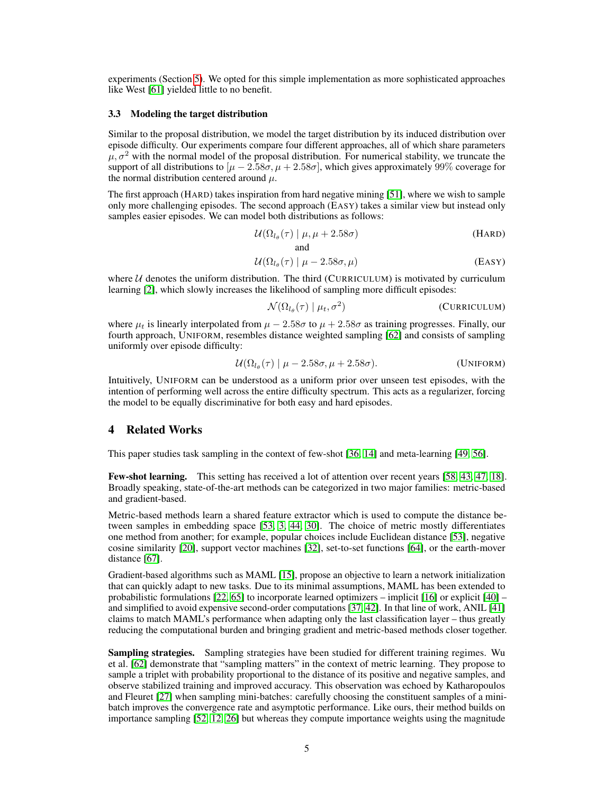experiments (Section [5\)](#page-5-0). We opted for this simple implementation as more sophisticated approaches like West [\[61\]](#page-12-9) yielded little to no benefit.

### 3.3 Modeling the target distribution

Similar to the proposal distribution, we model the target distribution by its induced distribution over episode difficulty. Our experiments compare four different approaches, all of which share parameters  $\mu$ ,  $\sigma^2$  with the normal model of the proposal distribution. For numerical stability, we truncate the support of all distributions to  $[\mu - 2.58\sigma, \mu + 2.58\sigma]$ , which gives approximately 99% coverage for the normal distribution centered around  $\mu$ .

The first approach (HARD) takes inspiration from hard negative mining [\[51\]](#page-12-10), where we wish to sample only more challenging episodes. The second approach (EASY) takes a similar view but instead only samples easier episodes. We can model both distributions as follows:

$$
\mathcal{U}(\Omega_{l_{\theta}}(\tau) \mid \mu, \mu + 2.58\sigma) \tag{HARD}
$$

$$
\mathcal{U}(\Omega_{l_{\theta}}(\tau) \mid \mu - 2.58\sigma, \mu) \tag{Easy}
$$

where  $U$  denotes the uniform distribution. The third (CURRICULUM) is motivated by curriculum learning [\[2\]](#page-10-11), which slowly increases the likelihood of sampling more difficult episodes:

$$
\mathcal{N}(\Omega_{l_{\theta}}(\tau) \mid \mu_t, \sigma^2)
$$
 (CURRICULUM)

where  $\mu_t$  is linearly interpolated from  $\mu - 2.58\sigma$  to  $\mu + 2.58\sigma$  as training progresses. Finally, our fourth approach, UNIFORM, resembles distance weighted sampling [\[62\]](#page-12-4) and consists of sampling uniformly over episode difficulty:

$$
\mathcal{U}(\Omega_{l_{\theta}}(\tau) \mid \mu - 2.58\sigma, \mu + 2.58\sigma). \tag{UNIFORM}
$$

Intuitively, UNIFORM can be understood as a uniform prior over unseen test episodes, with the intention of performing well across the entire difficulty spectrum. This acts as a regularizer, forcing the model to be equally discriminative for both easy and hard episodes.

# 4 Related Works

This paper studies task sampling in the context of few-shot [\[36,](#page-11-9) [14\]](#page-10-12) and meta-learning [\[49,](#page-12-11) [56\]](#page-12-12).

Few-shot learning. This setting has received a lot of attention over recent years [\[58,](#page-12-13) [43,](#page-11-10) [47,](#page-11-11) [18\]](#page-10-13). Broadly speaking, state-of-the-art methods can be categorized in two major families: metric-based and gradient-based.

Metric-based methods learn a shared feature extractor which is used to compute the distance between samples in embedding space [\[53,](#page-12-5) [3,](#page-10-14) [44,](#page-11-12) [30\]](#page-11-6). The choice of metric mostly differentiates one method from another; for example, popular choices include Euclidean distance [\[53\]](#page-12-5), negative cosine similarity [\[20\]](#page-10-5), support vector machines [\[32\]](#page-11-5), set-to-set functions [\[64\]](#page-12-6), or the earth-mover distance [\[67\]](#page-12-8).

Gradient-based algorithms such as MAML [\[15\]](#page-10-6), propose an objective to learn a network initialization that can quickly adapt to new tasks. Due to its minimal assumptions, MAML has been extended to probabilistic formulations [\[22,](#page-10-15) [65\]](#page-12-14) to incorporate learned optimizers – implicit [\[16\]](#page-10-16) or explicit [\[40\]](#page-11-13) – and simplified to avoid expensive second-order computations [\[37,](#page-11-14) [42\]](#page-11-15). In that line of work, ANIL [\[41\]](#page-11-4) claims to match MAML's performance when adapting only the last classification layer – thus greatly reducing the computational burden and bringing gradient and metric-based methods closer together.

Sampling strategies. Sampling strategies have been studied for different training regimes. Wu et al. [\[62\]](#page-12-4) demonstrate that "sampling matters" in the context of metric learning. They propose to sample a triplet with probability proportional to the distance of its positive and negative samples, and observe stabilized training and improved accuracy. This observation was echoed by Katharopoulos and Fleuret [\[27\]](#page-11-3) when sampling mini-batches: carefully choosing the constituent samples of a minibatch improves the convergence rate and asymptotic performance. Like ours, their method builds on importance sampling [\[52,](#page-12-15) [12,](#page-10-17) [26\]](#page-11-16) but whereas they compute importance weights using the magnitude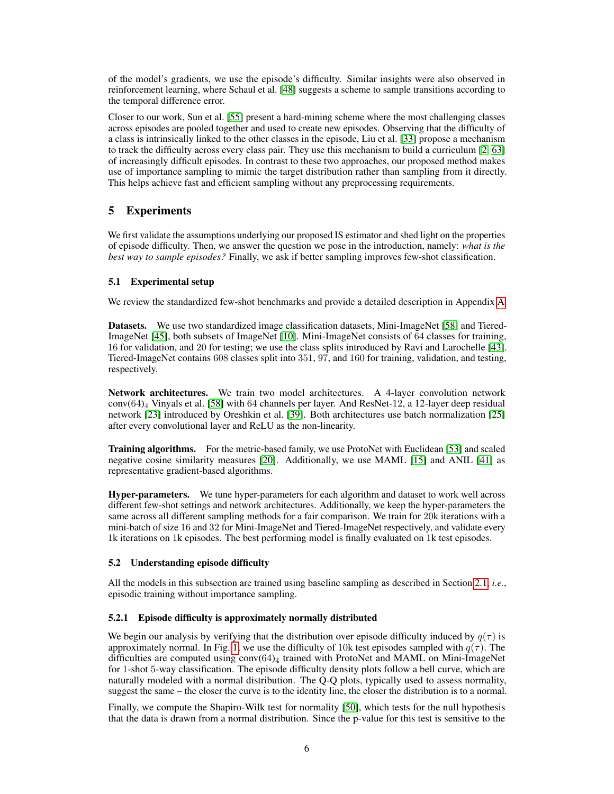of the model's gradients, we use the episode's difficulty. Similar insights were also observed in reinforcement learning, where Schaul et al. [\[48\]](#page-11-17) suggests a scheme to sample transitions according to the temporal difference error.

Closer to our work, Sun et al. [\[55\]](#page-12-1) present a hard-mining scheme where the most challenging classes across episodes are pooled together and used to create new episodes. Observing that the difficulty of a class is intrinsically linked to the other classes in the episode, Liu et al. [\[33\]](#page-11-1) propose a mechanism to track the difficulty across every class pair. They use this mechanism to build a curriculum [\[2,](#page-10-11) [63\]](#page-12-16) of increasingly difficult episodes. In contrast to these two approaches, our proposed method makes use of importance sampling to mimic the target distribution rather than sampling from it directly. This helps achieve fast and efficient sampling without any preprocessing requirements.

# <span id="page-5-0"></span>5 Experiments

We first validate the assumptions underlying our proposed IS estimator and shed light on the properties of episode difficulty. Then, we answer the question we pose in the introduction, namely: *what is the best way to sample episodes?* Finally, we ask if better sampling improves few-shot classification.

# 5.1 Experimental setup

We review the standardized few-shot benchmarks and provide a detailed description in Appendix [A.](#page--1-0)

Datasets. We use two standardized image classification datasets, Mini-ImageNet [\[58\]](#page-12-13) and Tiered-ImageNet [\[45\]](#page-11-18), both subsets of ImageNet [\[10\]](#page-10-18). Mini-ImageNet consists of 64 classes for training, 16 for validation, and 20 for testing; we use the class splits introduced by Ravi and Larochelle [\[43\]](#page-11-10). Tiered-ImageNet contains 608 classes split into 351, 97, and 160 for training, validation, and testing, respectively.

Network architectures. We train two model architectures. A 4-layer convolution network conv(64)<sup>4</sup> Vinyals et al. [\[58\]](#page-12-13) with 64 channels per layer. And ResNet-12, a 12-layer deep residual network [\[23\]](#page-10-19) introduced by Oreshkin et al. [\[39\]](#page-11-19). Both architectures use batch normalization [\[25\]](#page-11-20) after every convolutional layer and ReLU as the non-linearity.

Training algorithms. For the metric-based family, we use ProtoNet with Euclidean [\[53\]](#page-12-5) and scaled negative cosine similarity measures [\[20\]](#page-10-5). Additionally, we use MAML [\[15\]](#page-10-6) and ANIL [\[41\]](#page-11-4) as representative gradient-based algorithms.

Hyper-parameters. We tune hyper-parameters for each algorithm and dataset to work well across different few-shot settings and network architectures. Additionally, we keep the hyper-parameters the same across all different sampling methods for a fair comparison. We train for 20k iterations with a mini-batch of size 16 and 32 for Mini-ImageNet and Tiered-ImageNet respectively, and validate every 1k iterations on 1k episodes. The best performing model is finally evaluated on 1k test episodes.

# <span id="page-5-1"></span>5.2 Understanding episode difficulty

All the models in this subsection are trained using baseline sampling as described in Section [2.1,](#page-1-1) *i.e.*, episodic training without importance sampling.

# 5.2.1 Episode difficulty is approximately normally distributed

We begin our analysis by verifying that the distribution over episode difficulty induced by  $q(\tau)$  is approximately normal. In Fig. [1,](#page-6-0) we use the difficulty of 10k test episodes sampled with  $q(\tau)$ . The difficulties are computed using  $conv(64)_4$  trained with ProtoNet and MAML on Mini-ImageNet for 1-shot 5-way classification. The episode difficulty density plots follow a bell curve, which are naturally modeled with a normal distribution. The Q-Q plots, typically used to assess normality, suggest the same – the closer the curve is to the identity line, the closer the distribution is to a normal.

Finally, we compute the Shapiro-Wilk test for normality [\[50\]](#page-12-17), which tests for the null hypothesis that the data is drawn from a normal distribution. Since the p-value for this test is sensitive to the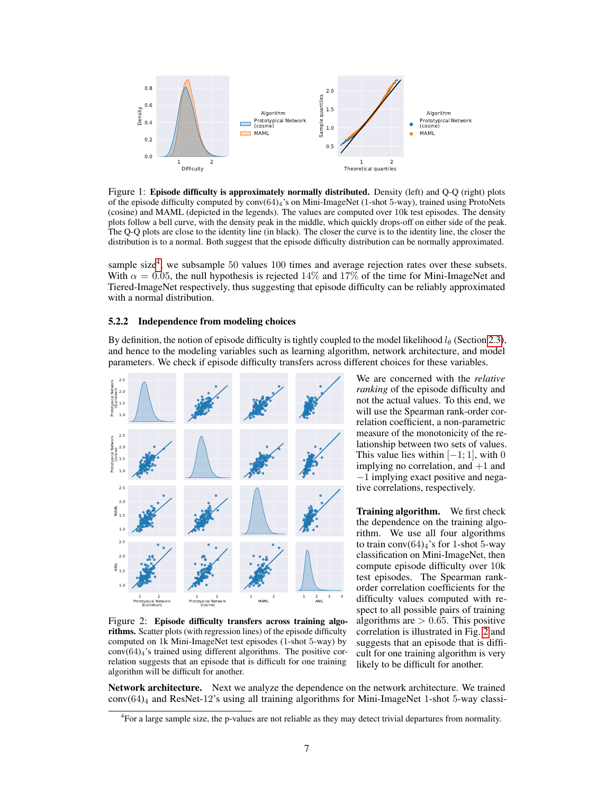<span id="page-6-0"></span>

Figure 1: Episode difficulty is approximately normally distributed. Density (left) and Q-Q (right) plots of the episode difficulty computed by conv(64)4's on Mini-ImageNet (1-shot 5-way), trained using ProtoNets (cosine) and MAML (depicted in the legends). The values are computed over 10k test episodes. The density plots follow a bell curve, with the density peak in the middle, which quickly drops-off on either side of the peak. The Q-Q plots are close to the identity line (in black). The closer the curve is to the identity line, the closer the distribution is to a normal. Both suggest that the episode difficulty distribution can be normally approximated.

sample size<sup>[4](#page-6-1)</sup>, we subsample 50 values 100 times and average rejection rates over these subsets. With  $\alpha = 0.05$ , the null hypothesis is rejected 14% and 17% of the time for Mini-ImageNet and Tiered-ImageNet respectively, thus suggesting that episode difficulty can be reliably approximated with a normal distribution.

#### 5.2.2 Independence from modeling choices

By definition, the notion of episode difficulty is tightly coupled to the model likelihood  $l_\theta$  (Section [2.3\)](#page-2-1), and hence to the modeling variables such as learning algorithm, network architecture, and model parameters. We check if episode difficulty transfers across different choices for these variables.

<span id="page-6-2"></span>

Figure 2: Episode difficulty transfers across training algorithms. Scatter plots (with regression lines) of the episode difficulty computed on 1k Mini-ImageNet test episodes (1-shot 5-way) by  $conv(64)<sub>4</sub>$ 's trained using different algorithms. The positive correlation suggests that an episode that is difficult for one training algorithm will be difficult for another.

We are concerned with the *relative ranking* of the episode difficulty and not the actual values. To this end, we will use the Spearman rank-order correlation coefficient, a non-parametric measure of the monotonicity of the relationship between two sets of values. This value lies within  $[-1; 1]$ , with 0 implying no correlation, and  $+1$  and −1 implying exact positive and negative correlations, respectively.

Training algorithm. We first check the dependence on the training algorithm. We use all four algorithms to train conv $(64)_4$ 's for 1-shot 5-way classification on Mini-ImageNet, then compute episode difficulty over 10k test episodes. The Spearman rankorder correlation coefficients for the difficulty values computed with respect to all possible pairs of training algorithms are  $> 0.65$ . This positive correlation is illustrated in Fig. [2](#page-6-2) and suggests that an episode that is difficult for one training algorithm is very likely to be difficult for another.

Network architecture. Next we analyze the dependence on the network architecture. We trained  $conv(64)_4$  and ResNet-12's using all training algorithms for Mini-ImageNet 1-shot 5-way classi-

<span id="page-6-1"></span><sup>4</sup> For a large sample size, the p-values are not reliable as they may detect trivial departures from normality.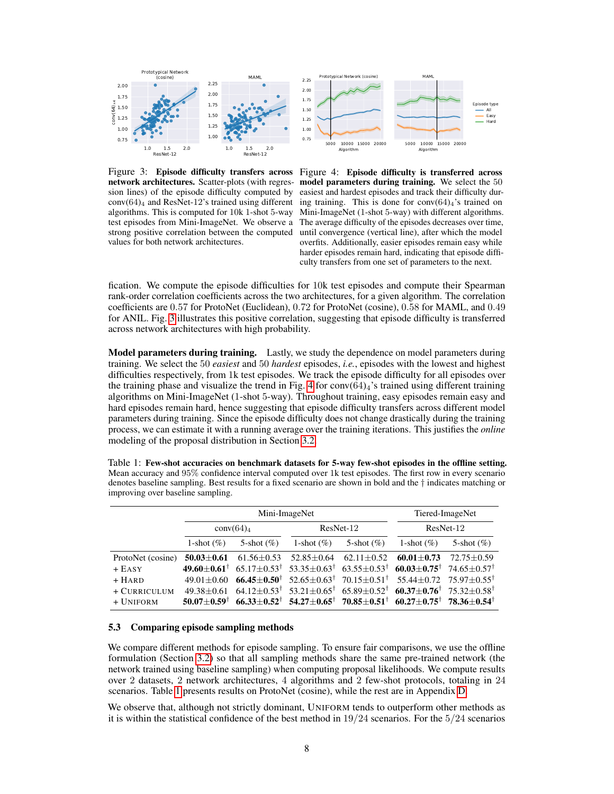<span id="page-7-0"></span>

Figure 3: Episode difficulty transfers across network architectures. Scatter-plots (with regression lines) of the episode difficulty computed by  $conv(64)<sub>4</sub>$  and ResNet-12's trained using different algorithms. This is computed for 10k 1-shot 5-way test episodes from Mini-ImageNet. We observe a strong positive correlation between the computed values for both network architectures.



fication. We compute the episode difficulties for 10k test episodes and compute their Spearman rank-order correlation coefficients across the two architectures, for a given algorithm. The correlation coefficients are 0.57 for ProtoNet (Euclidean), 0.72 for ProtoNet (cosine), 0.58 for MAML, and 0.49 for ANIL. Fig. [3](#page-7-0) illustrates this positive correlation, suggesting that episode difficulty is transferred across network architectures with high probability.

**Model parameters during training.** Lastly, we study the dependence on model parameters during training. We select the 50 *easiest* and 50 *hardest* episodes, *i.e.*, episodes with the lowest and highest difficulties respectively, from 1k test episodes. We track the episode difficulty for all episodes over the training phase and visualize the trend in Fig. [4](#page-7-0) for  $conv(64)_4$ 's trained using different training algorithms on Mini-ImageNet (1-shot 5-way). Throughout training, easy episodes remain easy and hard episodes remain hard, hence suggesting that episode difficulty transfers across different model parameters during training. Since the episode difficulty does not change drastically during the training process, we can estimate it with a running average over the training iterations. This justifies the *online* modeling of the proposal distribution in Section [3.2.](#page-3-1)

| Table 1. Few-shot accuracies on benchmark gatasets for 5-way few-shot episodes in the offinite setting.                |
|------------------------------------------------------------------------------------------------------------------------|
| Mean accuracy and 95% confidence interval computed over 1k test episodes. The first row in every scenario              |
| denotes baseline sampling. Best results for a fixed scenario are shown in bold and the $\dagger$ indicates matching or |
| improving over baseline sampling.                                                                                      |
|                                                                                                                        |

<span id="page-7-1"></span>Table 1: Few-shot accuracies on benchmark datasets for 5-way few-shot episodes in the offline setting.

|                           |                                            | Mini-ImageNet            | Tiered-ImageNet  |                                                                                                                                                                                                                                                                                    |                |                |
|---------------------------|--------------------------------------------|--------------------------|------------------|------------------------------------------------------------------------------------------------------------------------------------------------------------------------------------------------------------------------------------------------------------------------------------|----------------|----------------|
|                           | conv(64) <sub>4</sub>                      |                          | ResNet-12        |                                                                                                                                                                                                                                                                                    | ResNet-12      |                |
|                           | 1-shot $(\%)$                              | 5-shot $(\%)$            | 1-shot $(\%)$    | 5-shot $(\%)$                                                                                                                                                                                                                                                                      | 1-shot $(\%)$  | 5-shot $(\% )$ |
| ProtoNet (cosine)         | $50.03 + 0.61$                             | $61.56 \pm 0.53$         | $52.85 \pm 0.64$ | $62.11 \pm 0.52$                                                                                                                                                                                                                                                                   | $60.01 + 0.73$ | $72.75 + 0.59$ |
| + Easy                    | $49.60 + 0.61^{\dagger}$                   |                          |                  | $65.17\pm0.53^{\dagger}$ $53.35\pm0.63^{\dagger}$ $63.55\pm0.53^{\dagger}$ $60.03\pm0.75^{\dagger}$ $74.65\pm0.57^{\dagger}$                                                                                                                                                       |                |                |
| $+ HARD$                  | $49.01 + 0.60$                             | $66.45 + 0.50^{\dagger}$ |                  | $52.65 \pm 0.63^{\dagger}$ $70.15 \pm 0.51^{\dagger}$ $55.44 \pm 0.72$ $75.97 \pm 0.55^{\dagger}$                                                                                                                                                                                  |                |                |
| + CURRICULUM<br>+ UNIFORM | $49.38 + 0.61$<br>$50.07 + 0.59^{\dagger}$ |                          |                  | $64.12\pm0.53^{\dagger}$ 53.21 $\pm0.65^{\dagger}$ 65.89 $\pm0.52^{\dagger}$ 60.37 $\pm$ 0.76 <sup>†</sup> 75.32 $\pm$ 0.58 <sup>†</sup><br>$66.33 \pm 0.52^{\dagger}$ 54.27 $\pm 0.65^{\dagger}$ 70.85 $\pm 0.51^{\dagger}$ 60.27 $\pm 0.75^{\dagger}$ 78.36 $\pm 0.54^{\dagger}$ |                |                |
|                           |                                            |                          |                  |                                                                                                                                                                                                                                                                                    |                |                |

### 5.3 Comparing episode sampling methods

We compare different methods for episode sampling. To ensure fair comparisons, we use the offline formulation (Section [3.2\)](#page-3-1) so that all sampling methods share the same pre-trained network (the network trained using baseline sampling) when computing proposal likelihoods. We compute results over 2 datasets, 2 network architectures, 4 algorithms and 2 few-shot protocols, totaling in 24 scenarios. Table [1](#page-7-1) presents results on ProtoNet (cosine), while the rest are in Appendix [D.](#page--1-1)

We observe that, although not strictly dominant, UNIFORM tends to outperform other methods as it is within the statistical confidence of the best method in  $19/24$  scenarios. For the  $5/24$  scenarios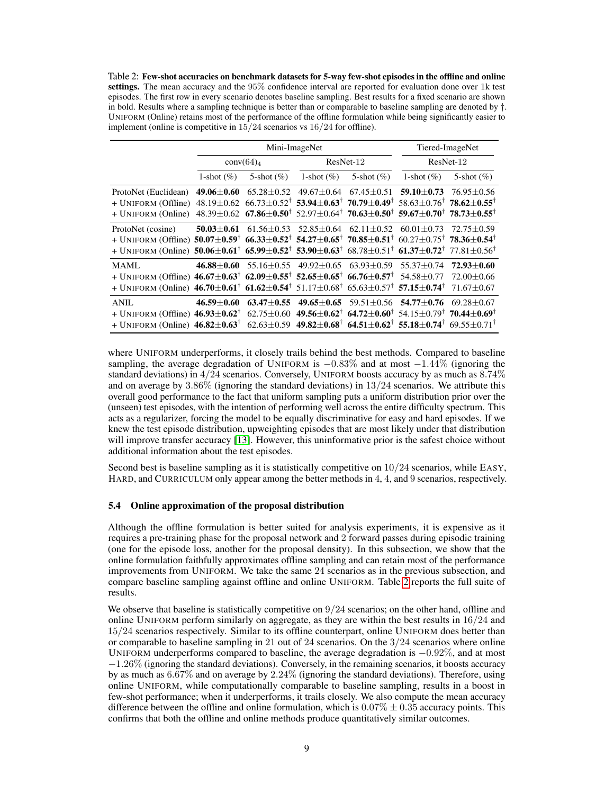<span id="page-8-0"></span>Table 2: Few-shot accuracies on benchmark datasets for 5-way few-shot episodes in the offline and online settings. The mean accuracy and the 95% confidence interval are reported for evaluation done over 1k test episodes. The first row in every scenario denotes baseline sampling. Best results for a fixed scenario are shown in bold. Results where a sampling technique is better than or comparable to baseline sampling are denoted by  $\dagger$ . UNIFORM (Online) retains most of the performance of the offline formulation while being significantly easier to implement (online is competitive in  $15/24$  scenarios vs  $16/24$  for offline).

|                                                                                                                                                                                       |                    | Mini-ImageNet                     | Tiered-ImageNet                   |                                   |                                                                                                                                             |                  |
|---------------------------------------------------------------------------------------------------------------------------------------------------------------------------------------|--------------------|-----------------------------------|-----------------------------------|-----------------------------------|---------------------------------------------------------------------------------------------------------------------------------------------|------------------|
|                                                                                                                                                                                       |                    | conv(64) <sub>4</sub>             | ResNet-12                         |                                   | ResNet-12                                                                                                                                   |                  |
|                                                                                                                                                                                       | 1-shot $(\%)$      | 5-shot $(\% )$                    | 1-shot $(\%)$                     | 5-shot $(\% )$                    | 1-shot $(\%)$                                                                                                                               | 5-shot $(\% )$   |
| ProtoNet (Euclidean)                                                                                                                                                                  | 49.06 $\pm$ 0.60   | $65.28 \pm 0.52$                  | $49.67 \pm 0.64$                  | $67.45 \pm 0.51$                  | $59.10 + 0.73$                                                                                                                              | 76.95±0.56       |
| + UNIFORM (Offline)                                                                                                                                                                   |                    |                                   |                                   |                                   | $48.19\pm0.62$ $66.73\pm0.52^{\dagger}$ $53.94\pm0.63^{\dagger}$ $70.79\pm0.49^{\dagger}$ $58.63\pm0.76^{\dagger}$ $78.62\pm0.55^{\dagger}$ |                  |
| + UNIFORM (Online)                                                                                                                                                                    |                    |                                   |                                   |                                   | 48.39±0.62 67.86±0.50 <sup>†</sup> 52.97±0.64 <sup>†</sup> 70.63±0.50 <sup>†</sup> 59.67±0.70 <sup>†</sup> 78.73±0.55 <sup>†</sup>          |                  |
| ProtoNet (cosine)                                                                                                                                                                     | $50.03 {\pm} 0.61$ | $61.56 \pm 0.53$                  | $52.85 \pm 0.64$ $62.11 \pm 0.52$ |                                   | $60.01 + 0.73$                                                                                                                              | $72.75 + 0.59$   |
| + UNIFORM (Offline) $50.07 \pm 0.59^{\dagger}$ 66.33 $\pm 0.52^{\dagger}$ 54.27 $\pm 0.65^{\dagger}$ 70.85 $\pm 0.51^{\dagger}$ 60.27 $\pm 0.75^{\dagger}$ 78.36 $\pm 0.54^{\dagger}$ |                    |                                   |                                   |                                   |                                                                                                                                             |                  |
| + UNIFORM (Online) $50.06 \pm 0.61^{\dagger}$ 65.99 $\pm 0.52^{\dagger}$ 53.90 $\pm 0.63^{\dagger}$ 68.78 $\pm 0.51^{\dagger}$ 61.37 $\pm 0.72^{\dagger}$ 77.81 $\pm 0.56^{\dagger}$  |                    |                                   |                                   |                                   |                                                                                                                                             |                  |
| <b>MAML</b>                                                                                                                                                                           |                    | $46.88 \pm 0.60$ 55.16 $\pm$ 0.55 |                                   | $49.92 \pm 0.65$ 63.93 $\pm 0.59$ | $55.37 \pm 0.74$                                                                                                                            | $72.93 + 0.60$   |
| + UNIFORM (Offline) $46.67 \pm 0.63^{\dagger}$ 62.09 $\pm 0.55^{\dagger}$ 52.65 $\pm 0.65^{\dagger}$ 66.76 $\pm 0.57^{\dagger}$                                                       |                    |                                   |                                   |                                   | $54.58 + 0.77$                                                                                                                              | $72.00 + 0.66$   |
| + UNIFORM (Online) $46.70 \pm 0.61^{\dagger}$ 61.62 $\pm 0.54^{\dagger}$ 51.17 $\pm 0.68^{\dagger}$ 65.63 $\pm 0.57^{\dagger}$ 57.15 $\pm 0.74^{\dagger}$                             |                    |                                   |                                   |                                   |                                                                                                                                             | $71.67 + 0.67$   |
| <b>ANIL</b>                                                                                                                                                                           | 46.59 $\pm 0.60$   | $63.47 \pm 0.55$                  | $49.65 \pm 0.65$                  | $59.51 \pm 0.56$                  | $54.77 \pm 0.76$                                                                                                                            | $69.28 \pm 0.67$ |
| $+$ UNIFORM (Offline) 46.93 $\pm$ 0.62 <sup>†</sup>                                                                                                                                   |                    |                                   |                                   |                                   | 62.75±0.60 49.56±0.62 <sup>†</sup> 64.72±0.60 <sup>†</sup> 54.15±0.79 <sup>†</sup> 70.44±0.69 <sup>†</sup>                                  |                  |
| + UNIFORM (Online) $46.82 \pm 0.63^{\dagger}$                                                                                                                                         |                    |                                   |                                   |                                   | 62.63±0.59 49.82±0.68 <sup>†</sup> 64.51±0.62 <sup>†</sup> 55.18±0.74 <sup>†</sup> 69.55±0.71 <sup>†</sup>                                  |                  |

where UNIFORM underperforms, it closely trails behind the best methods. Compared to baseline sampling, the average degradation of UNIFORM is  $-0.83\%$  and at most  $-1.44\%$  (ignoring the standard deviations) in  $4/24$  scenarios. Conversely, UNIFORM boosts accuracy by as much as  $8.74\%$ and on average by  $3.86\%$  (ignoring the standard deviations) in  $13/24$  scenarios. We attribute this overall good performance to the fact that uniform sampling puts a uniform distribution prior over the (unseen) test episodes, with the intention of performing well across the entire difficulty spectrum. This acts as a regularizer, forcing the model to be equally discriminative for easy and hard episodes. If we knew the test episode distribution, upweighting episodes that are most likely under that distribution will improve transfer accuracy [\[13\]](#page-10-20). However, this uninformative prior is the safest choice without additional information about the test episodes.

Second best is baseline sampling as it is statistically competitive on  $10/24$  scenarios, while EASY, HARD, and CURRICULUM only appear among the better methods in 4, 4, and 9 scenarios, respectively.

### 5.4 Online approximation of the proposal distribution

Although the offline formulation is better suited for analysis experiments, it is expensive as it requires a pre-training phase for the proposal network and 2 forward passes during episodic training (one for the episode loss, another for the proposal density). In this subsection, we show that the online formulation faithfully approximates offline sampling and can retain most of the performance improvements from UNIFORM. We take the same 24 scenarios as in the previous subsection, and compare baseline sampling against offline and online UNIFORM. Table [2](#page-8-0) reports the full suite of results.

We observe that baseline is statistically competitive on  $9/24$  scenarios; on the other hand, offline and online UNIFORM perform similarly on aggregate, as they are within the best results in 16/24 and 15/24 scenarios respectively. Similar to its offline counterpart, online UNIFORM does better than or comparable to baseline sampling in 21 out of 24 scenarios. On the  $3/24$  scenarios where online UNIFORM underperforms compared to baseline, the average degradation is  $-0.92\%$ , and at most  $-1.26\%$  (ignoring the standard deviations). Conversely, in the remaining scenarios, it boosts accuracy by as much as  $6.67\%$  and on average by  $2.24\%$  (ignoring the standard deviations). Therefore, using online UNIFORM, while computationally comparable to baseline sampling, results in a boost in few-shot performance; when it underperforms, it trails closely. We also compute the mean accuracy difference between the offline and online formulation, which is  $0.07\% \pm 0.35$  accuracy points. This confirms that both the offline and online methods produce quantitatively similar outcomes.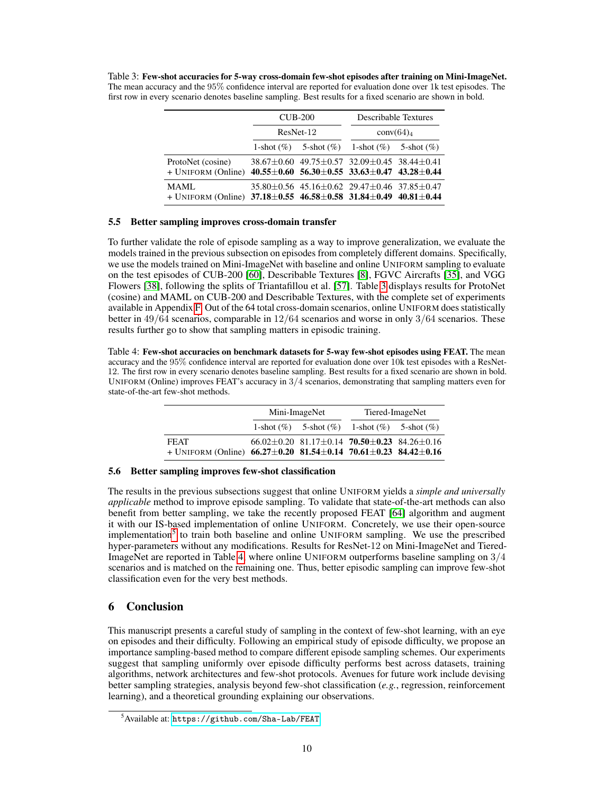<span id="page-9-0"></span>Table 3: Few-shot accuracies for 5-way cross-domain few-shot episodes after training on Mini-ImageNet. The mean accuracy and the 95% confidence interval are reported for evaluation done over 1k test episodes. The first row in every scenario denotes baseline sampling. Best results for a fixed scenario are shown in bold.

|                                                                                                             | $CUB-200$                                                           | <b>Describable Textures</b><br>conv(64) <sub>4</sub> |  |  |
|-------------------------------------------------------------------------------------------------------------|---------------------------------------------------------------------|------------------------------------------------------|--|--|
|                                                                                                             | ResNet-12                                                           |                                                      |  |  |
|                                                                                                             | 1-shot $(\%)$ 5-shot $(\%)$ 1-shot $(\%)$ 5-shot $(\%)$             |                                                      |  |  |
| ProtoNet (cosine)<br>+ UNIFORM (Online) $40.55 \pm 0.60$ 56.30 $\pm 0.55$ 33.63 $\pm 0.47$ 43.28 $\pm 0.44$ | $38.67 \pm 0.60$ $49.75 \pm 0.57$ $32.09 \pm 0.45$ $38.44 \pm 0.41$ |                                                      |  |  |
| <b>MAML</b><br>+ UNIFORM (Online) $37.18 \pm 0.55$ 46.58 $\pm 0.58$ 31.84 $\pm 0.49$ 40.81 $\pm 0.44$       | $35.80 \pm 0.56$ $45.16 \pm 0.62$ $29.47 \pm 0.46$ $37.85 \pm 0.47$ |                                                      |  |  |

### 5.5 Better sampling improves cross-domain transfer

To further validate the role of episode sampling as a way to improve generalization, we evaluate the models trained in the previous subsection on episodes from completely different domains. Specifically, we use the models trained on Mini-ImageNet with baseline and online UNIFORM sampling to evaluate on the test episodes of CUB-200 [\[60\]](#page-12-18), Describable Textures [\[8\]](#page-10-21), FGVC Aircrafts [\[35\]](#page-11-21), and VGG Flowers [\[38\]](#page-11-22), following the splits of Triantafillou et al. [\[57\]](#page-12-19). Table [3](#page-9-0) displays results for ProtoNet (cosine) and MAML on CUB-200 and Describable Textures, with the complete set of experiments available in Appendix [F.](#page--1-2) Out of the 64 total cross-domain scenarios, online UNIFORM does statistically better in 49/64 scenarios, comparable in 12/64 scenarios and worse in only 3/64 scenarios. These results further go to show that sampling matters in episodic training.

<span id="page-9-2"></span>Table 4: Few-shot accuracies on benchmark datasets for 5-way few-shot episodes using FEAT. The mean accuracy and the 95% confidence interval are reported for evaluation done over 10k test episodes with a ResNet-12. The first row in every scenario denotes baseline sampling. Best results for a fixed scenario are shown in bold. UNIFORM (Online) improves FEAT's accuracy in 3/4 scenarios, demonstrating that sampling matters even for state-of-the-art few-shot methods.

|                                                                                                       | Mini-ImageNet |                                                                                   | Tiered-ImageNet |  |
|-------------------------------------------------------------------------------------------------------|---------------|-----------------------------------------------------------------------------------|-----------------|--|
|                                                                                                       |               | 1-shot $(\%)$ 5-shot $(\%)$ 1-shot $(\%)$ 5-shot $(\%)$                           |                 |  |
| <b>FEAT</b><br>+ UNIFORM (Online) $66.27 \pm 0.20$ 81.54 $\pm 0.14$ 70.61 $\pm 0.23$ 84.42 $\pm 0.16$ |               | $66.02 \pm 0.20$ 81.17 $\pm$ 0.14 <b>70.50</b> $\pm$ <b>0.23</b> 84.26 $\pm$ 0.16 |                 |  |

### 5.6 Better sampling improves few-shot classification

The results in the previous subsections suggest that online UNIFORM yields a *simple and universally applicable* method to improve episode sampling. To validate that state-of-the-art methods can also benefit from better sampling, we take the recently proposed FEAT [\[64\]](#page-12-6) algorithm and augment it with our IS-based implementation of online UNIFORM. Concretely, we use their open-source implementation<sup>[5](#page-9-1)</sup> to train both baseline and online UNIFORM sampling. We use the prescribed hyper-parameters without any modifications. Results for ResNet-12 on Mini-ImageNet and Tiered-ImageNet are reported in Table [4,](#page-9-2) where online UNIFORM outperforms baseline sampling on 3/4 scenarios and is matched on the remaining one. Thus, better episodic sampling can improve few-shot classification even for the very best methods.

# 6 Conclusion

This manuscript presents a careful study of sampling in the context of few-shot learning, with an eye on episodes and their difficulty. Following an empirical study of episode difficulty, we propose an importance sampling-based method to compare different episode sampling schemes. Our experiments suggest that sampling uniformly over episode difficulty performs best across datasets, training algorithms, network architectures and few-shot protocols. Avenues for future work include devising better sampling strategies, analysis beyond few-shot classification (*e.g.*, regression, reinforcement learning), and a theoretical grounding explaining our observations.

<span id="page-9-1"></span> $5$ Available at: <https://github.com/Sha-Lab/FEAT>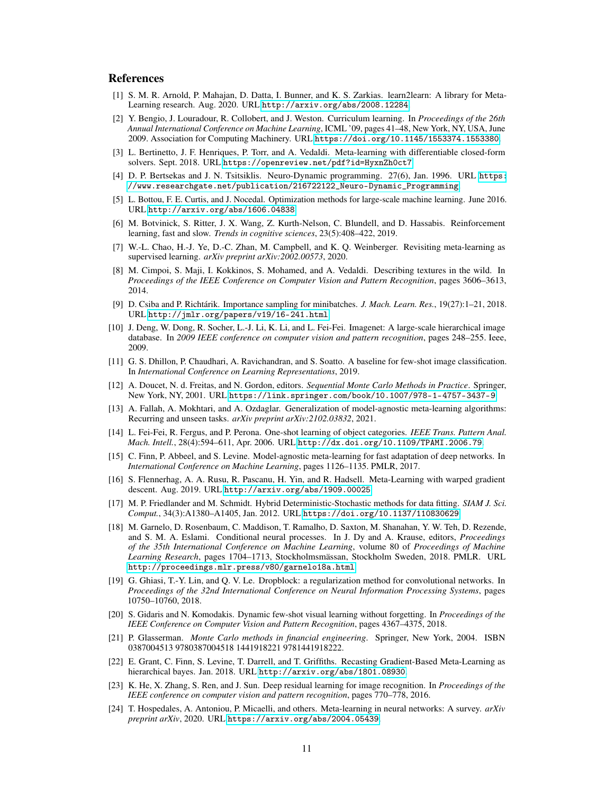### References

- [1] S. M. R. Arnold, P. Mahajan, D. Datta, I. Bunner, and K. S. Zarkias. learn2learn: A library for Meta-Learning research. Aug. 2020. URL <http://arxiv.org/abs/2008.12284>.
- <span id="page-10-11"></span>[2] Y. Bengio, J. Louradour, R. Collobert, and J. Weston. Curriculum learning. In *Proceedings of the 26th Annual International Conference on Machine Learning*, ICML '09, pages 41–48, New York, NY, USA, June 2009. Association for Computing Machinery. URL <https://doi.org/10.1145/1553374.1553380>.
- <span id="page-10-14"></span>[3] L. Bertinetto, J. F. Henriques, P. Torr, and A. Vedaldi. Meta-learning with differentiable closed-form solvers. Sept. 2018. URL <https://openreview.net/pdf?id=HyxnZh0ct7>.
- <span id="page-10-1"></span>[4] D. P. Bertsekas and J. N. Tsitsiklis. Neuro-Dynamic programming. 27(6), Jan. 1996. URL [https:](https://www.researchgate.net/publication/216722122_Neuro-Dynamic_Programming) [//www.researchgate.net/publication/216722122\\_Neuro-Dynamic\\_Programming](https://www.researchgate.net/publication/216722122_Neuro-Dynamic_Programming).
- <span id="page-10-3"></span>[5] L. Bottou, F. E. Curtis, and J. Nocedal. Optimization methods for large-scale machine learning. June 2016. URL <http://arxiv.org/abs/1606.04838>.
- <span id="page-10-0"></span>[6] M. Botvinick, S. Ritter, J. X. Wang, Z. Kurth-Nelson, C. Blundell, and D. Hassabis. Reinforcement learning, fast and slow. *Trends in cognitive sciences*, 23(5):408–422, 2019.
- <span id="page-10-7"></span>[7] W.-L. Chao, H.-J. Ye, D.-C. Zhan, M. Campbell, and K. Q. Weinberger. Revisiting meta-learning as supervised learning. *arXiv preprint arXiv:2002.00573*, 2020.
- <span id="page-10-21"></span>[8] M. Cimpoi, S. Maji, I. Kokkinos, S. Mohamed, and A. Vedaldi. Describing textures in the wild. In *Proceedings of the IEEE Conference on Computer Vision and Pattern Recognition*, pages 3606–3613, 2014.
- <span id="page-10-4"></span>[9] D. Csiba and P. Richtárik. Importance sampling for minibatches. *J. Mach. Learn. Res.*, 19(27):1–21, 2018. URL <http://jmlr.org/papers/v19/16-241.html>.
- <span id="page-10-18"></span>[10] J. Deng, W. Dong, R. Socher, L.-J. Li, K. Li, and L. Fei-Fei. Imagenet: A large-scale hierarchical image database. In *2009 IEEE conference on computer vision and pattern recognition*, pages 248–255. Ieee, 2009.
- <span id="page-10-9"></span>[11] G. S. Dhillon, P. Chaudhari, A. Ravichandran, and S. Soatto. A baseline for few-shot image classification. In *International Conference on Learning Representations*, 2019.
- <span id="page-10-17"></span>[12] A. Doucet, N. d. Freitas, and N. Gordon, editors. *Sequential Monte Carlo Methods in Practice*. Springer, New York, NY, 2001. URL <https://link.springer.com/book/10.1007/978-1-4757-3437-9>.
- <span id="page-10-20"></span>[13] A. Fallah, A. Mokhtari, and A. Ozdaglar. Generalization of model-agnostic meta-learning algorithms: Recurring and unseen tasks. *arXiv preprint arXiv:2102.03832*, 2021.
- <span id="page-10-12"></span>[14] L. Fei-Fei, R. Fergus, and P. Perona. One-shot learning of object categories. *IEEE Trans. Pattern Anal. Mach. Intell.*, 28(4):594–611, Apr. 2006. URL <http://dx.doi.org/10.1109/TPAMI.2006.79>.
- <span id="page-10-6"></span>[15] C. Finn, P. Abbeel, and S. Levine. Model-agnostic meta-learning for fast adaptation of deep networks. In *International Conference on Machine Learning*, pages 1126–1135. PMLR, 2017.
- <span id="page-10-16"></span>[16] S. Flennerhag, A. A. Rusu, R. Pascanu, H. Yin, and R. Hadsell. Meta-Learning with warped gradient descent. Aug. 2019. URL <http://arxiv.org/abs/1909.00025>.
- <span id="page-10-2"></span>[17] M. P. Friedlander and M. Schmidt. Hybrid Deterministic-Stochastic methods for data fitting. *SIAM J. Sci. Comput.*, 34(3):A1380–A1405, Jan. 2012. URL <https://doi.org/10.1137/110830629>.
- <span id="page-10-13"></span>[18] M. Garnelo, D. Rosenbaum, C. Maddison, T. Ramalho, D. Saxton, M. Shanahan, Y. W. Teh, D. Rezende, and S. M. A. Eslami. Conditional neural processes. In J. Dy and A. Krause, editors, *Proceedings of the 35th International Conference on Machine Learning*, volume 80 of *Proceedings of Machine Learning Research*, pages 1704–1713, Stockholmsmässan, Stockholm Sweden, 2018. PMLR. URL <http://proceedings.mlr.press/v80/garnelo18a.html>.
- [19] G. Ghiasi, T.-Y. Lin, and Q. V. Le. Dropblock: a regularization method for convolutional networks. In *Proceedings of the 32nd International Conference on Neural Information Processing Systems*, pages 10750–10760, 2018.
- <span id="page-10-5"></span>[20] S. Gidaris and N. Komodakis. Dynamic few-shot visual learning without forgetting. In *Proceedings of the IEEE Conference on Computer Vision and Pattern Recognition*, pages 4367–4375, 2018.
- <span id="page-10-10"></span>[21] P. Glasserman. *Monte Carlo methods in financial engineering*. Springer, New York, 2004. ISBN 0387004513 9780387004518 1441918221 9781441918222.
- <span id="page-10-15"></span>[22] E. Grant, C. Finn, S. Levine, T. Darrell, and T. Griffiths. Recasting Gradient-Based Meta-Learning as hierarchical bayes. Jan. 2018. URL <http://arxiv.org/abs/1801.08930>.
- <span id="page-10-19"></span>[23] K. He, X. Zhang, S. Ren, and J. Sun. Deep residual learning for image recognition. In *Proceedings of the IEEE conference on computer vision and pattern recognition*, pages 770–778, 2016.
- <span id="page-10-8"></span>[24] T. Hospedales, A. Antoniou, P. Micaelli, and others. Meta-learning in neural networks: A survey. *arXiv preprint arXiv*, 2020. URL <https://arxiv.org/abs/2004.05439>.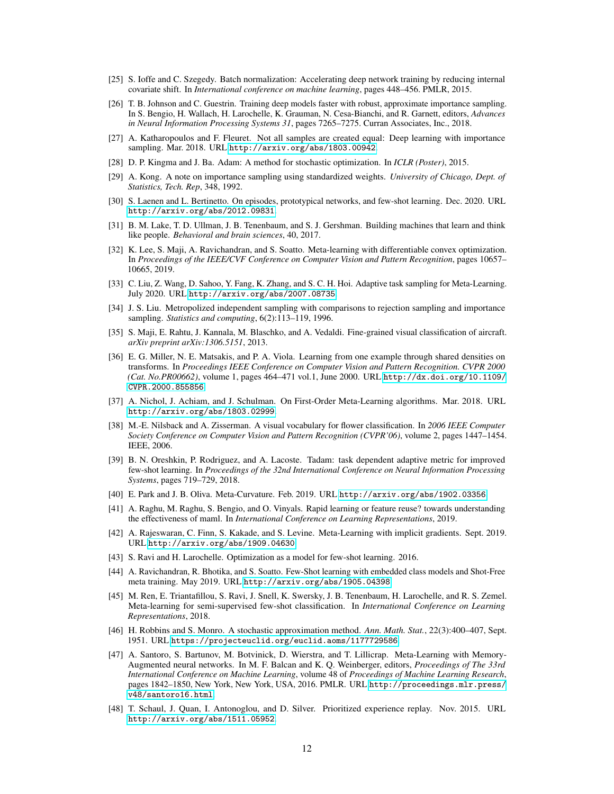- <span id="page-11-20"></span>[25] S. Ioffe and C. Szegedy. Batch normalization: Accelerating deep network training by reducing internal covariate shift. In *International conference on machine learning*, pages 448–456. PMLR, 2015.
- <span id="page-11-16"></span>[26] T. B. Johnson and C. Guestrin. Training deep models faster with robust, approximate importance sampling. In S. Bengio, H. Wallach, H. Larochelle, K. Grauman, N. Cesa-Bianchi, and R. Garnett, editors, *Advances in Neural Information Processing Systems 31*, pages 7265–7275. Curran Associates, Inc., 2018.
- <span id="page-11-3"></span>[27] A. Katharopoulos and F. Fleuret. Not all samples are created equal: Deep learning with importance sampling. Mar. 2018. URL <http://arxiv.org/abs/1803.00942>.
- [28] D. P. Kingma and J. Ba. Adam: A method for stochastic optimization. In *ICLR (Poster)*, 2015.
- <span id="page-11-7"></span>[29] A. Kong. A note on importance sampling using standardized weights. *University of Chicago, Dept. of Statistics, Tech. Rep*, 348, 1992.
- <span id="page-11-6"></span>[30] S. Laenen and L. Bertinetto. On episodes, prototypical networks, and few-shot learning. Dec. 2020. URL <http://arxiv.org/abs/2012.09831>.
- <span id="page-11-0"></span>[31] B. M. Lake, T. D. Ullman, J. B. Tenenbaum, and S. J. Gershman. Building machines that learn and think like people. *Behavioral and brain sciences*, 40, 2017.
- <span id="page-11-5"></span>[32] K. Lee, S. Maji, A. Ravichandran, and S. Soatto. Meta-learning with differentiable convex optimization. In *Proceedings of the IEEE/CVF Conference on Computer Vision and Pattern Recognition*, pages 10657– 10665, 2019.
- <span id="page-11-1"></span>[33] C. Liu, Z. Wang, D. Sahoo, Y. Fang, K. Zhang, and S. C. H. Hoi. Adaptive task sampling for Meta-Learning. July 2020. URL <http://arxiv.org/abs/2007.08735>.
- <span id="page-11-8"></span>[34] J. S. Liu. Metropolized independent sampling with comparisons to rejection sampling and importance sampling. *Statistics and computing*, 6(2):113-119, 1996.
- <span id="page-11-21"></span>[35] S. Maji, E. Rahtu, J. Kannala, M. Blaschko, and A. Vedaldi. Fine-grained visual classification of aircraft. *arXiv preprint arXiv:1306.5151*, 2013.
- <span id="page-11-9"></span>[36] E. G. Miller, N. E. Matsakis, and P. A. Viola. Learning from one example through shared densities on transforms. In *Proceedings IEEE Conference on Computer Vision and Pattern Recognition. CVPR 2000 (Cat. No.PR00662)*, volume 1, pages 464–471 vol.1, June 2000. URL [http://dx.doi.org/10.1109/](http://dx.doi.org/10.1109/CVPR.2000.855856) [CVPR.2000.855856](http://dx.doi.org/10.1109/CVPR.2000.855856).
- <span id="page-11-14"></span>[37] A. Nichol, J. Achiam, and J. Schulman. On First-Order Meta-Learning algorithms. Mar. 2018. URL <http://arxiv.org/abs/1803.02999>.
- <span id="page-11-22"></span>[38] M.-E. Nilsback and A. Zisserman. A visual vocabulary for flower classification. In *2006 IEEE Computer Society Conference on Computer Vision and Pattern Recognition (CVPR'06)*, volume 2, pages 1447–1454. IEEE, 2006.
- <span id="page-11-19"></span>[39] B. N. Oreshkin, P. Rodriguez, and A. Lacoste. Tadam: task dependent adaptive metric for improved few-shot learning. In *Proceedings of the 32nd International Conference on Neural Information Processing Systems*, pages 719–729, 2018.
- <span id="page-11-13"></span>[40] E. Park and J. B. Oliva. Meta-Curvature. Feb. 2019. URL <http://arxiv.org/abs/1902.03356>.
- <span id="page-11-4"></span>[41] A. Raghu, M. Raghu, S. Bengio, and O. Vinyals. Rapid learning or feature reuse? towards understanding the effectiveness of maml. In *International Conference on Learning Representations*, 2019.
- <span id="page-11-15"></span>[42] A. Rajeswaran, C. Finn, S. Kakade, and S. Levine. Meta-Learning with implicit gradients. Sept. 2019. URL <http://arxiv.org/abs/1909.04630>.
- <span id="page-11-10"></span>[43] S. Ravi and H. Larochelle. Optimization as a model for few-shot learning. 2016.
- <span id="page-11-12"></span>[44] A. Ravichandran, R. Bhotika, and S. Soatto. Few-Shot learning with embedded class models and Shot-Free meta training. May 2019. URL <http://arxiv.org/abs/1905.04398>.
- <span id="page-11-18"></span>[45] M. Ren, E. Triantafillou, S. Ravi, J. Snell, K. Swersky, J. B. Tenenbaum, H. Larochelle, and R. S. Zemel. Meta-learning for semi-supervised few-shot classification. In *International Conference on Learning Representations*, 2018.
- <span id="page-11-2"></span>[46] H. Robbins and S. Monro. A stochastic approximation method. *Ann. Math. Stat.*, 22(3):400–407, Sept. 1951. URL <https://projecteuclid.org/euclid.aoms/1177729586>.
- <span id="page-11-11"></span>[47] A. Santoro, S. Bartunov, M. Botvinick, D. Wierstra, and T. Lillicrap. Meta-Learning with Memory-Augmented neural networks. In M. F. Balcan and K. Q. Weinberger, editors, *Proceedings of The 33rd International Conference on Machine Learning*, volume 48 of *Proceedings of Machine Learning Research*, pages 1842–1850, New York, New York, USA, 2016. PMLR. URL [http://proceedings.mlr.press/](http://proceedings.mlr.press/v48/santoro16.html) [v48/santoro16.html](http://proceedings.mlr.press/v48/santoro16.html).
- <span id="page-11-17"></span>[48] T. Schaul, J. Quan, I. Antonoglou, and D. Silver. Prioritized experience replay. Nov. 2015. URL <http://arxiv.org/abs/1511.05952>.